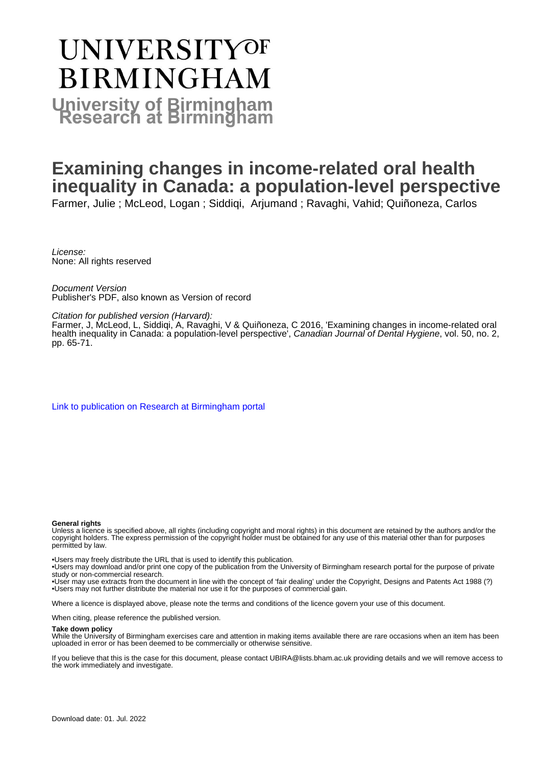# **UNIVERSITYOF BIRMINGHAM University of Birmingham**

# **Examining changes in income-related oral health inequality in Canada: a population-level perspective**

Farmer, Julie ; McLeod, Logan ; Siddiqi, Arjumand ; Ravaghi, Vahid; Quiñoneza, Carlos

License: None: All rights reserved

Document Version Publisher's PDF, also known as Version of record

Citation for published version (Harvard):

Farmer, J, McLeod, L, Siddiqi, A, Ravaghi, V & Quiñoneza, C 2016, 'Examining changes in income-related oral health inequality in Canada: a population-level perspective', Canadian Journal of Dental Hygiene, vol. 50, no. 2, pp. 65-71.

[Link to publication on Research at Birmingham portal](https://birmingham.elsevierpure.com/en/publications/1422f8e2-9a8c-40f1-bd74-2173a202df37)

#### **General rights**

Unless a licence is specified above, all rights (including copyright and moral rights) in this document are retained by the authors and/or the copyright holders. The express permission of the copyright holder must be obtained for any use of this material other than for purposes permitted by law.

• Users may freely distribute the URL that is used to identify this publication.

• Users may download and/or print one copy of the publication from the University of Birmingham research portal for the purpose of private study or non-commercial research.

• User may use extracts from the document in line with the concept of 'fair dealing' under the Copyright, Designs and Patents Act 1988 (?) • Users may not further distribute the material nor use it for the purposes of commercial gain.

Where a licence is displayed above, please note the terms and conditions of the licence govern your use of this document.

When citing, please reference the published version.

## **Take down policy**

While the University of Birmingham exercises care and attention in making items available there are rare occasions when an item has been uploaded in error or has been deemed to be commercially or otherwise sensitive.

If you believe that this is the case for this document, please contact UBIRA@lists.bham.ac.uk providing details and we will remove access to the work immediately and investigate.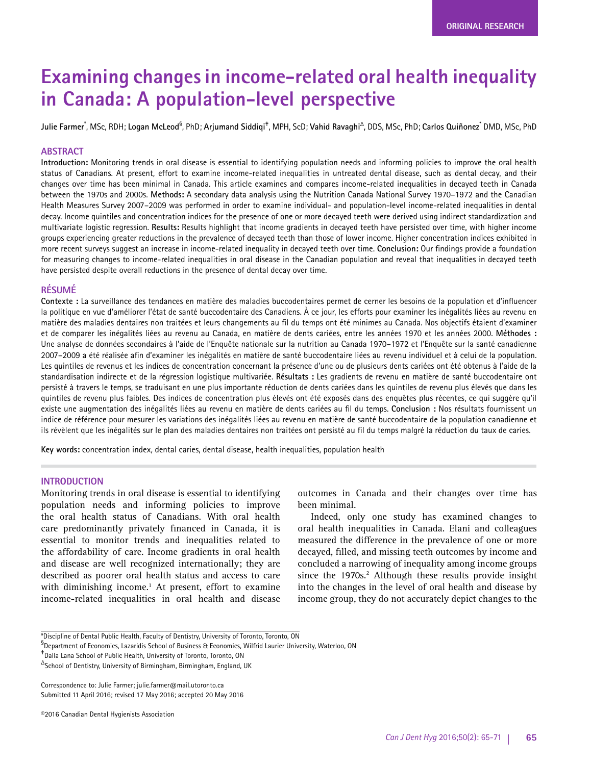# **Examining changes in income-related oral health inequality in Canada: A population-level perspective**

**Julie Farmer**\* , MSc, RDH; **Logan McLeod**§ , PhD; **Arjumand Siddiqi**‡ , MPH, ScD; **Vahid Ravaghi**∆, DDS, MSc, PhD; **Carlos Quiñonez**\* DMD, MSc, PhD

# **ABSTRACT**

**Introduction:** Monitoring trends in oral disease is essential to identifying population needs and informing policies to improve the oral health status of Canadians. At present, effort to examine income-related inequalities in untreated dental disease, such as dental decay, and their changes over time has been minimal in Canada. This article examines and compares income-related inequalities in decayed teeth in Canada between the 1970s and 2000s. **Methods:** A secondary data analysis using the Nutrition Canada National Survey 1970–1972 and the Canadian Health Measures Survey 2007–2009 was performed in order to examine individual- and population-level income-related inequalities in dental decay. Income quintiles and concentration indices for the presence of one or more decayed teeth were derived using indirect standardization and multivariate logistic regression. **Results:** Results highlight that income gradients in decayed teeth have persisted over time, with higher income groups experiencing greater reductions in the prevalence of decayed teeth than those of lower income. Higher concentration indices exhibited in more recent surveys suggest an increase in income-related inequality in decayed teeth over time. **Conclusion:** Our findings provide a foundation for measuring changes to income-related inequalities in oral disease in the Canadian population and reveal that inequalities in decayed teeth have persisted despite overall reductions in the presence of dental decay over time.

## **RÉSUMÉ**

**Contexte :** La surveillance des tendances en matière des maladies buccodentaires permet de cerner les besoins de la population et d'influencer la politique en vue d'améliorer l'état de santé buccodentaire des Canadiens. À ce jour, les efforts pour examiner les inégalités liées au revenu en matière des maladies dentaires non traitées et leurs changements au fil du temps ont été minimes au Canada. Nos objectifs étaient d'examiner et de comparer les inégalités liées au revenu au Canada, en matière de dents cariées, entre les années 1970 et les années 2000. **Méthodes :** Une analyse de données secondaires à l'aide de l'Enquête nationale sur la nutrition au Canada 1970–1972 et l'Enquête sur la santé canadienne 2007–2009 a été réalisée afin d'examiner les inégalités en matière de santé buccodentaire liées au revenu individuel et à celui de la population. Les quintiles de revenus et les indices de concentration concernant la présence d'une ou de plusieurs dents cariées ont été obtenus à l'aide de la standardisation indirecte et de la régression logistique multivariée. **Résultats :** Les gradients de revenu en matière de santé buccodentaire ont persisté à travers le temps, se traduisant en une plus importante réduction de dents cariées dans les quintiles de revenu plus élevés que dans les quintiles de revenu plus faibles. Des indices de concentration plus élevés ont été exposés dans des enquêtes plus récentes, ce qui suggère qu'il existe une augmentation des inégalités liées au revenu en matière de dents cariées au fil du temps. **Conclusion :** Nos résultats fournissent un indice de référence pour mesurer les variations des inégalités liées au revenu en matière de santé buccodentaire de la population canadienne et ils révèlent que les inégalités sur le plan des maladies dentaires non traitées ont persisté au fil du temps malgré la réduction du taux de caries.

**Key words:** concentration index, dental caries, dental disease, health inequalities, population health

## **INTRODUCTION**

Monitoring trends in oral disease is essential to identifying population needs and informing policies to improve the oral health status of Canadians. With oral health care predominantly privately financed in Canada, it is essential to monitor trends and inequalities related to the affordability of care. Income gradients in oral health and disease are well recognized internationally; they are described as poorer oral health status and access to care with diminishing income.<sup>1</sup> At present, effort to examine income-related inequalities in oral health and disease

outcomes in Canada and their changes over time has been minimal.

Indeed, only one study has examined changes to oral health inequalities in Canada. Elani and colleagues measured the difference in the prevalence of one or more decayed, filled, and missing teeth outcomes by income and concluded a narrowing of inequality among income groups since the 1970s.<sup>2</sup> Although these results provide insight into the changes in the level of oral health and disease by income group, they do not accurately depict changes to the

Correspondence to: Julie Farmer; julie.farmer@mail.utoronto.ca Submitted 11 April 2016; revised 17 May 2016; accepted 20 May 2016

<sup>\*</sup>Discipline of Dental Public Health, Faculty of Dentistry, University of Toronto, Toronto, ON

<sup>&</sup>lt;sup>§</sup> Department of Economics, Lazaridis School of Business & Economics, Wilfrid Laurier University, Waterloo, ON

<sup>‡</sup> Dalla Lana School of Public Health, University of Toronto, Toronto, ON

<sup>∆</sup>School of Dentistry, University of Birmingham, Birmingham, England, UK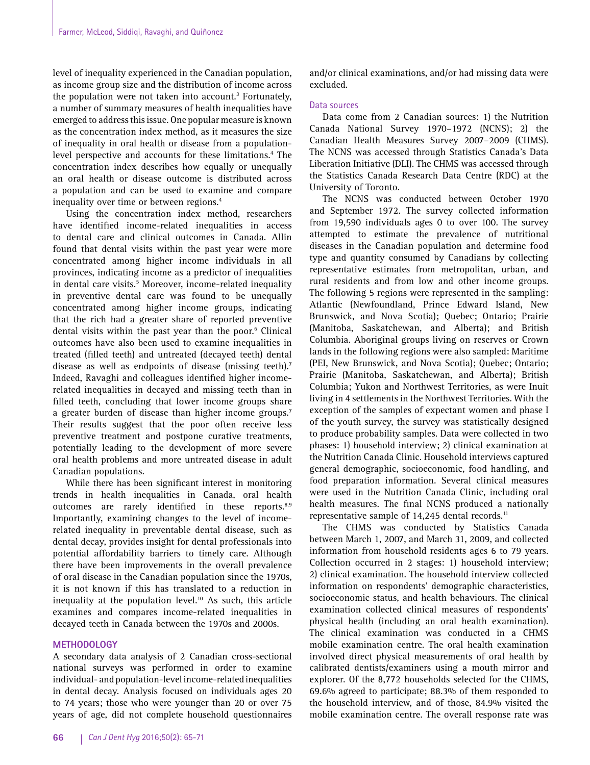level of inequality experienced in the Canadian population, as income group size and the distribution of income across the population were not taken into account.<sup>3</sup> Fortunately, a number of summary measures of health inequalities have emerged to address this issue. One popular measure is known as the concentration index method, as it measures the size of inequality in oral health or disease from a populationlevel perspective and accounts for these limitations.<sup>4</sup> The concentration index describes how equally or unequally an oral health or disease outcome is distributed across a population and can be used to examine and compare inequality over time or between regions.<sup>4</sup>

Using the concentration index method, researchers have identified income-related inequalities in access to dental care and clinical outcomes in Canada. Allin found that dental visits within the past year were more concentrated among higher income individuals in all provinces, indicating income as a predictor of inequalities in dental care visits.<sup>5</sup> Moreover, income-related inequality in preventive dental care was found to be unequally concentrated among higher income groups, indicating that the rich had a greater share of reported preventive dental visits within the past year than the poor.<sup>6</sup> Clinical outcomes have also been used to examine inequalities in treated (filled teeth) and untreated (decayed teeth) dental disease as well as endpoints of disease (missing teeth).<sup>7</sup> Indeed, Ravaghi and colleagues identified higher incomerelated inequalities in decayed and missing teeth than in filled teeth, concluding that lower income groups share a greater burden of disease than higher income groups.<sup>7</sup> Their results suggest that the poor often receive less preventive treatment and postpone curative treatments, potentially leading to the development of more severe oral health problems and more untreated disease in adult Canadian populations.

While there has been significant interest in monitoring trends in health inequalities in Canada, oral health outcomes are rarely identified in these reports.<sup>8,9</sup> Importantly, examining changes to the level of incomerelated inequality in preventable dental disease, such as dental decay, provides insight for dental professionals into potential affordability barriers to timely care. Although there have been improvements in the overall prevalence of oral disease in the Canadian population since the 1970s, it is not known if this has translated to a reduction in inequality at the population level.<sup>10</sup> As such, this article examines and compares income-related inequalities in decayed teeth in Canada between the 1970s and 2000s.

# **METHODOLOGY**

A secondary data analysis of 2 Canadian cross-sectional national surveys was performed in order to examine individual- and population-level income-related inequalities in dental decay. Analysis focused on individuals ages 20 to 74 years; those who were younger than 20 or over 75 years of age, did not complete household questionnaires

and/or clinical examinations, and/or had missing data were excluded.

## Data sources

Data come from 2 Canadian sources: 1) the Nutrition Canada National Survey 1970–1972 (NCNS); 2) the Canadian Health Measures Survey 2007–2009 (CHMS). The NCNS was accessed through Statistics Canada's Data Liberation Initiative (DLI). The CHMS was accessed through the Statistics Canada Research Data Centre (RDC) at the University of Toronto.

The NCNS was conducted between October 1970 and September 1972. The survey collected information from 19,590 individuals ages 0 to over 100. The survey attempted to estimate the prevalence of nutritional diseases in the Canadian population and determine food type and quantity consumed by Canadians by collecting representative estimates from metropolitan, urban, and rural residents and from low and other income groups. The following 5 regions were represented in the sampling: Atlantic (Newfoundland, Prince Edward Island, New Brunswick, and Nova Scotia); Quebec; Ontario; Prairie (Manitoba, Saskatchewan, and Alberta); and British Columbia. Aboriginal groups living on reserves or Crown lands in the following regions were also sampled: Maritime (PEI, New Brunswick, and Nova Scotia); Quebec; Ontario; Prairie (Manitoba, Saskatchewan, and Alberta); British Columbia; Yukon and Northwest Territories, as were Inuit living in 4 settlements in the Northwest Territories. With the exception of the samples of expectant women and phase I of the youth survey, the survey was statistically designed to produce probability samples. Data were collected in two phases: 1) household interview; 2) clinical examination at the Nutrition Canada Clinic. Household interviews captured general demographic, socioeconomic, food handling, and food preparation information. Several clinical measures were used in the Nutrition Canada Clinic, including oral health measures. The final NCNS produced a nationally representative sample of 14,245 dental records.<sup>11</sup>

The CHMS was conducted by Statistics Canada between March 1, 2007, and March 31, 2009, and collected information from household residents ages 6 to 79 years. Collection occurred in 2 stages: 1) household interview; 2) clinical examination. The household interview collected information on respondents' demographic characteristics, socioeconomic status, and health behaviours. The clinical examination collected clinical measures of respondents' physical health (including an oral health examination). The clinical examination was conducted in a CHMS mobile examination centre. The oral health examination involved direct physical measurements of oral health by calibrated dentists/examiners using a mouth mirror and explorer. Of the 8,772 households selected for the CHMS, 69.6% agreed to participate; 88.3% of them responded to the household interview, and of those, 84.9% visited the mobile examination centre. The overall response rate was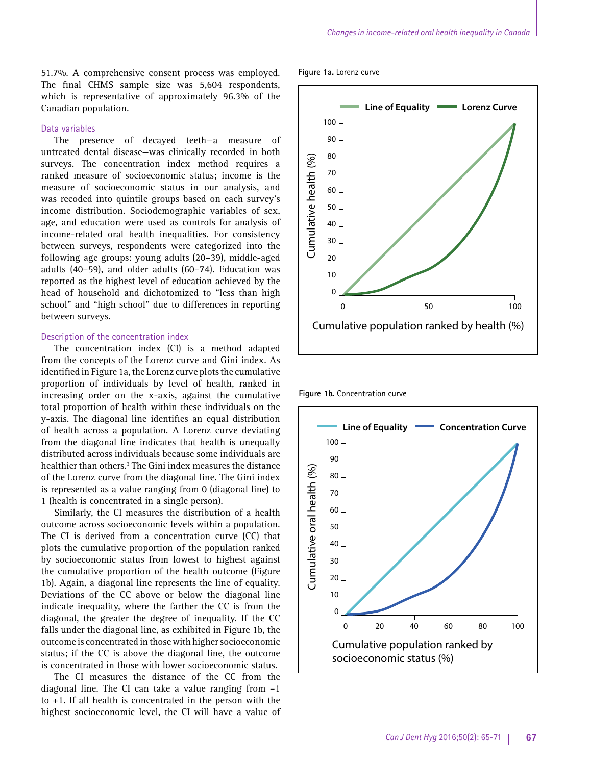51.7%. A comprehensive consent process was employed. The final CHMS sample size was 5,604 respondents, which is representative of approximately 96.3% of the Canadian population.

# Data variables

The presence of decayed teeth—a measure of untreated dental disease—was clinically recorded in both surveys. The concentration index method requires a ranked measure of socioeconomic status; income is the measure of socioeconomic status in our analysis, and was recoded into quintile groups based on each survey's income distribution. Sociodemographic variables of sex, age, and education were used as controls for analysis of income-related oral health inequalities. For consistency between surveys, respondents were categorized into the following age groups: young adults (20–39), middle-aged adults (40–59), and older adults (60–74). Education was reported as the highest level of education achieved by the head of household and dichotomized to "less than high school" and "high school" due to differences in reporting between surveys.

#### Description of the concentration index

The concentration index (CI) is a method adapted from the concepts of the Lorenz curve and Gini index. As identified in Figure 1a, the Lorenz curve plots the cumulative proportion of individuals by level of health, ranked in increasing order on the x-axis, against the cumulative total proportion of health within these individuals on the y-axis. The diagonal line identifies an equal distribution of health across a population. A Lorenz curve deviating from the diagonal line indicates that health is unequally distributed across individuals because some individuals are healthier than others.<sup>3</sup> The Gini index measures the distance of the Lorenz curve from the diagonal line. The Gini index is represented as a value ranging from 0 (diagonal line) to 1 (health is concentrated in a single person).

Similarly, the CI measures the distribution of a health outcome across socioeconomic levels within a population. The CI is derived from a concentration curve (CC) that plots the cumulative proportion of the population ranked by socioeconomic status from lowest to highest against the cumulative proportion of the health outcome (Figure 1b). Again, a diagonal line represents the line of equality. Deviations of the CC above or below the diagonal line indicate inequality, where the farther the CC is from the diagonal, the greater the degree of inequality. If the CC falls under the diagonal line, as exhibited in Figure 1b, the outcome is concentrated in those with higher socioeconomic status; if the CC is above the diagonal line, the outcome is concentrated in those with lower socioeconomic status.

The CI measures the distance of the CC from the diagonal line. The CI can take a value ranging from –1 to +1. If all health is concentrated in the person with the highest socioeconomic level, the CI will have a value of

**Figure 1a.** Lorenz curve



**Figure 1b.** Concentration curve

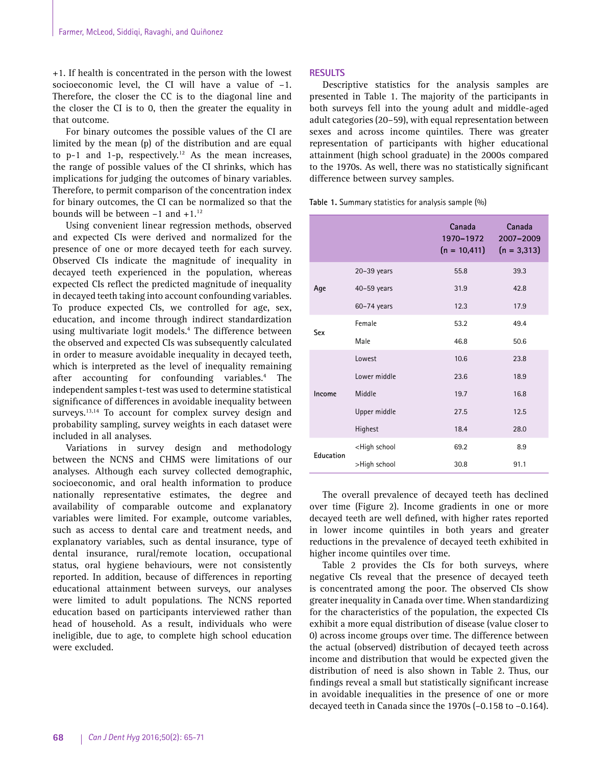+1. If health is concentrated in the person with the lowest socioeconomic level, the CI will have a value of –1. Therefore, the closer the CC is to the diagonal line and the closer the CI is to 0, then the greater the equality in that outcome.

For binary outcomes the possible values of the CI are limited by the mean (p) of the distribution and are equal to  $p-1$  and  $1-p$ , respectively.<sup>12</sup> As the mean increases, the range of possible values of the CI shrinks, which has implications for judging the outcomes of binary variables. Therefore, to permit comparison of the concentration index for binary outcomes, the CI can be normalized so that the bounds will be between  $-1$  and  $+1.^{12}$ 

Using convenient linear regression methods, observed and expected CIs were derived and normalized for the presence of one or more decayed teeth for each survey. Observed CIs indicate the magnitude of inequality in decayed teeth experienced in the population, whereas expected CIs reflect the predicted magnitude of inequality in decayed teeth taking into account confounding variables. To produce expected CIs, we controlled for age, sex, education, and income through indirect standardization using multivariate logit models.4 The difference between the observed and expected CIs was subsequently calculated in order to measure avoidable inequality in decayed teeth, which is interpreted as the level of inequality remaining after accounting for confounding variables.<sup>4</sup> The independent samples t-test was used to determine statistical significance of differences in avoidable inequality between surveys.<sup>13,14</sup> To account for complex survey design and probability sampling, survey weights in each dataset were included in all analyses.

Variations in survey design and methodology between the NCNS and CHMS were limitations of our analyses. Although each survey collected demographic, socioeconomic, and oral health information to produce nationally representative estimates, the degree and availability of comparable outcome and explanatory variables were limited. For example, outcome variables, such as access to dental care and treatment needs, and explanatory variables, such as dental insurance, type of dental insurance, rural/remote location, occupational status, oral hygiene behaviours, were not consistently reported. In addition, because of differences in reporting educational attainment between surveys, our analyses were limited to adult populations. The NCNS reported education based on participants interviewed rather than head of household. As a result, individuals who were ineligible, due to age, to complete high school education were excluded.

# **RESULTS**

Descriptive statistics for the analysis samples are presented in Table 1. The majority of the participants in both surveys fell into the young adult and middle-aged adult categories (20–59), with equal representation between sexes and across income quintiles. There was greater representation of participants with higher educational attainment (high school graduate) in the 2000s compared to the 1970s. As well, there was no statistically significant difference between survey samples.

**Table 1.** Summary statistics for analysis sample (%)

|           |                                                         | Canada<br>1970-1972<br>$(n = 10, 411)$ | Canada<br>2007-2009<br>$(n = 3, 313)$ |
|-----------|---------------------------------------------------------|----------------------------------------|---------------------------------------|
| Age       | $20-39$ years                                           | 55.8                                   | 39.3                                  |
|           | $40-59$ years                                           | 31.9                                   | 42.8                                  |
|           | $60-74$ years                                           | 12.3                                   | 17.9                                  |
| Sex       | Female                                                  | 53.2                                   | 49.4                                  |
|           | Male                                                    | 46.8                                   | 50.6                                  |
| Income    | Lowest                                                  | 10.6                                   | 23.8                                  |
|           | Lower middle                                            | 23.6                                   | 18.9                                  |
|           | Middle                                                  | 19.7                                   | 16.8                                  |
|           | Upper middle                                            | 27.5                                   | 12.5                                  |
|           | Highest                                                 | 18.4                                   | 28.0                                  |
| Education | <high school<="" td=""><td>69.2</td><td>8.9</td></high> | 69.2                                   | 8.9                                   |
|           | >High school                                            | 30.8                                   | 91.1                                  |

The overall prevalence of decayed teeth has declined over time (Figure 2). Income gradients in one or more decayed teeth are well defined, with higher rates reported in lower income quintiles in both years and greater reductions in the prevalence of decayed teeth exhibited in higher income quintiles over time.

Table 2 provides the CIs for both surveys, where negative CIs reveal that the presence of decayed teeth is concentrated among the poor. The observed CIs show greater inequality in Canada over time. When standardizing for the characteristics of the population, the expected CIs exhibit a more equal distribution of disease (value closer to 0) across income groups over time. The difference between the actual (observed) distribution of decayed teeth across income and distribution that would be expected given the distribution of need is also shown in Table 2. Thus, our findings reveal a small but statistically significant increase in avoidable inequalities in the presence of one or more decayed teeth in Canada since the 1970s (–0.158 to –0.164).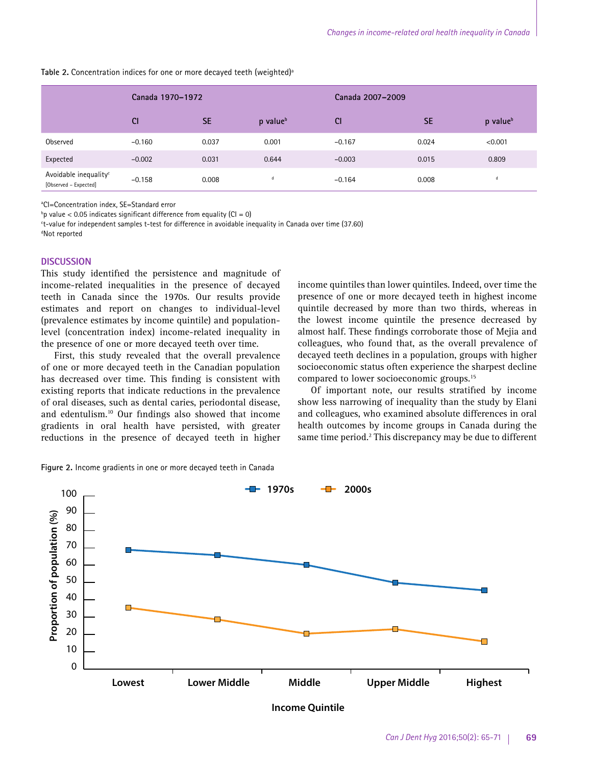income quintiles than lower quintiles. Indeed, over time the presence of one or more decayed teeth in highest income quintile decreased by more than two thirds, whereas in the lowest income quintile the presence decreased by almost half. These findings corroborate those of Mejia and colleagues, who found that, as the overall prevalence of decayed teeth declines in a population, groups with higher socioeconomic status often experience the sharpest decline

Of important note, our results stratified by income show less narrowing of inequality than the study by Elani and colleagues, who examined absolute differences in oral

compared to lower socioeconomic groups.15

Table 2. Concentration indices for one or more decayed teeth (weighted)<sup>a</sup>

|                                                            | Canada 1970-1972 |           |                      | Canada 2007-2009 |           |                      |
|------------------------------------------------------------|------------------|-----------|----------------------|------------------|-----------|----------------------|
|                                                            | <b>CI</b>        | <b>SE</b> | p value <sup>b</sup> | <b>CI</b>        | <b>SE</b> | p value <sup>b</sup> |
| Observed                                                   | $-0.160$         | 0.037     | 0.001                | $-0.167$         | 0.024     | < 0.001              |
| Expected                                                   | $-0.002$         | 0.031     | 0.644                | $-0.003$         | 0.015     | 0.809                |
| Avoidable inequality <sup>c</sup><br>[Observed – Expected] | $-0.158$         | 0.008     |                      | $-0.164$         | 0.008     | d                    |

a CI=Concentration index, SE=Standard error

 $^{\circ}$ p value < 0.05 indicates significant difference from equality (CI = 0)

c t-value for independent samples t-test for difference in avoidable inequality in Canada over time (37.60)

d Not reported

#### **DISCUSSION**

This study identified the persistence and magnitude of income-related inequalities in the presence of decayed teeth in Canada since the 1970s. Our results provide estimates and report on changes to individual-level (prevalence estimates by income quintile) and populationlevel (concentration index) income-related inequality in the presence of one or more decayed teeth over time.

First, this study revealed that the overall prevalence of one or more decayed teeth in the Canadian population has decreased over time. This finding is consistent with existing reports that indicate reductions in the prevalence of oral diseases, such as dental caries, periodontal disease, and edentulism.10 Our findings also showed that income gradients in oral health have persisted, with greater reductions in the presence of decayed teeth in higher

health outcomes by income groups in Canada during the same time period.<sup>2</sup> This discrepancy may be due to different

**Figure 2.** Income gradients in one or more decayed teeth in Canada



**Income Quintile**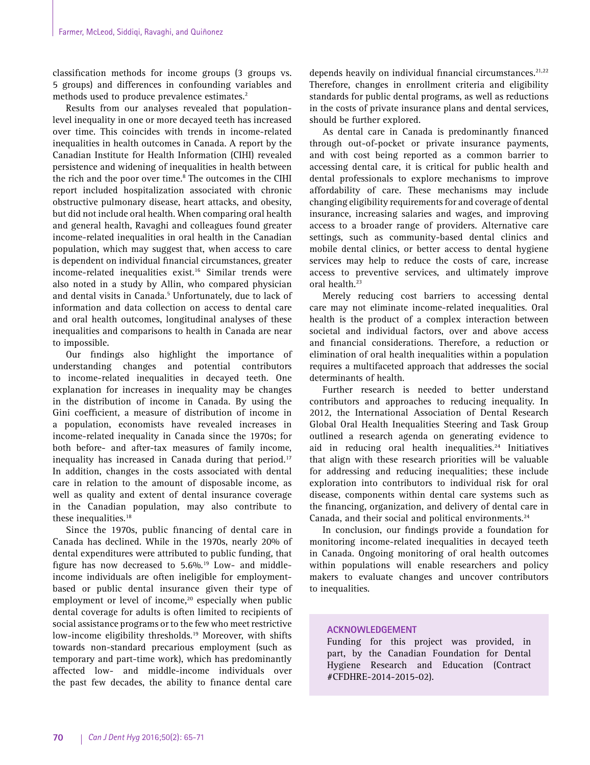classification methods for income groups (3 groups vs. 5 groups) and differences in confounding variables and methods used to produce prevalence estimates.<sup>2</sup>

Results from our analyses revealed that populationlevel inequality in one or more decayed teeth has increased over time. This coincides with trends in income-related inequalities in health outcomes in Canada. A report by the Canadian Institute for Health Information (CIHI) revealed persistence and widening of inequalities in health between the rich and the poor over time.<sup>8</sup> The outcomes in the CIHI report included hospitalization associated with chronic obstructive pulmonary disease, heart attacks, and obesity, but did not include oral health. When comparing oral health and general health, Ravaghi and colleagues found greater income-related inequalities in oral health in the Canadian population, which may suggest that, when access to care is dependent on individual financial circumstances, greater income-related inequalities exist.<sup>16</sup> Similar trends were also noted in a study by Allin, who compared physician and dental visits in Canada.<sup>5</sup> Unfortunately, due to lack of information and data collection on access to dental care and oral health outcomes, longitudinal analyses of these inequalities and comparisons to health in Canada are near to impossible.

Our findings also highlight the importance of understanding changes and potential contributors to income-related inequalities in decayed teeth. One explanation for increases in inequality may be changes in the distribution of income in Canada. By using the Gini coefficient, a measure of distribution of income in a population, economists have revealed increases in income-related inequality in Canada since the 1970s; for both before- and after-tax measures of family income, inequality has increased in Canada during that period. $17$ In addition, changes in the costs associated with dental care in relation to the amount of disposable income, as well as quality and extent of dental insurance coverage in the Canadian population, may also contribute to these inequalities.<sup>18</sup>

Since the 1970s, public financing of dental care in Canada has declined. While in the 1970s, nearly 20% of dental expenditures were attributed to public funding, that figure has now decreased to  $5.6\%$ .<sup>19</sup> Low- and middleincome individuals are often ineligible for employmentbased or public dental insurance given their type of employment or level of income,<sup>20</sup> especially when public dental coverage for adults is often limited to recipients of social assistance programs or to the few who meet restrictive low-income eligibility thresholds.<sup>19</sup> Moreover, with shifts towards non-standard precarious employment (such as temporary and part-time work), which has predominantly affected low- and middle-income individuals over the past few decades, the ability to finance dental care

depends heavily on individual financial circumstances.<sup>21,22</sup> Therefore, changes in enrollment criteria and eligibility standards for public dental programs, as well as reductions in the costs of private insurance plans and dental services, should be further explored.

As dental care in Canada is predominantly financed through out-of-pocket or private insurance payments, and with cost being reported as a common barrier to accessing dental care, it is critical for public health and dental professionals to explore mechanisms to improve affordability of care. These mechanisms may include changing eligibility requirements for and coverage of dental insurance, increasing salaries and wages, and improving access to a broader range of providers. Alternative care settings, such as community-based dental clinics and mobile dental clinics, or better access to dental hygiene services may help to reduce the costs of care, increase access to preventive services, and ultimately improve oral health.<sup>23</sup>

Merely reducing cost barriers to accessing dental care may not eliminate income-related inequalities. Oral health is the product of a complex interaction between societal and individual factors, over and above access and financial considerations. Therefore, a reduction or elimination of oral health inequalities within a population requires a multifaceted approach that addresses the social determinants of health.

Further research is needed to better understand contributors and approaches to reducing inequality. In 2012, the International Association of Dental Research Global Oral Health Inequalities Steering and Task Group outlined a research agenda on generating evidence to aid in reducing oral health inequalities.<sup>24</sup> Initiatives that align with these research priorities will be valuable for addressing and reducing inequalities; these include exploration into contributors to individual risk for oral disease, components within dental care systems such as the financing, organization, and delivery of dental care in Canada, and their social and political environments.<sup>24</sup>

In conclusion, our findings provide a foundation for monitoring income-related inequalities in decayed teeth in Canada. Ongoing monitoring of oral health outcomes within populations will enable researchers and policy makers to evaluate changes and uncover contributors to inequalities.

# **ACKNOWLEDGEMENT**

Funding for this project was provided, in part, by the Canadian Foundation for Dental Hygiene Research and Education (Contract #CFDHRE-2014-2015-02).